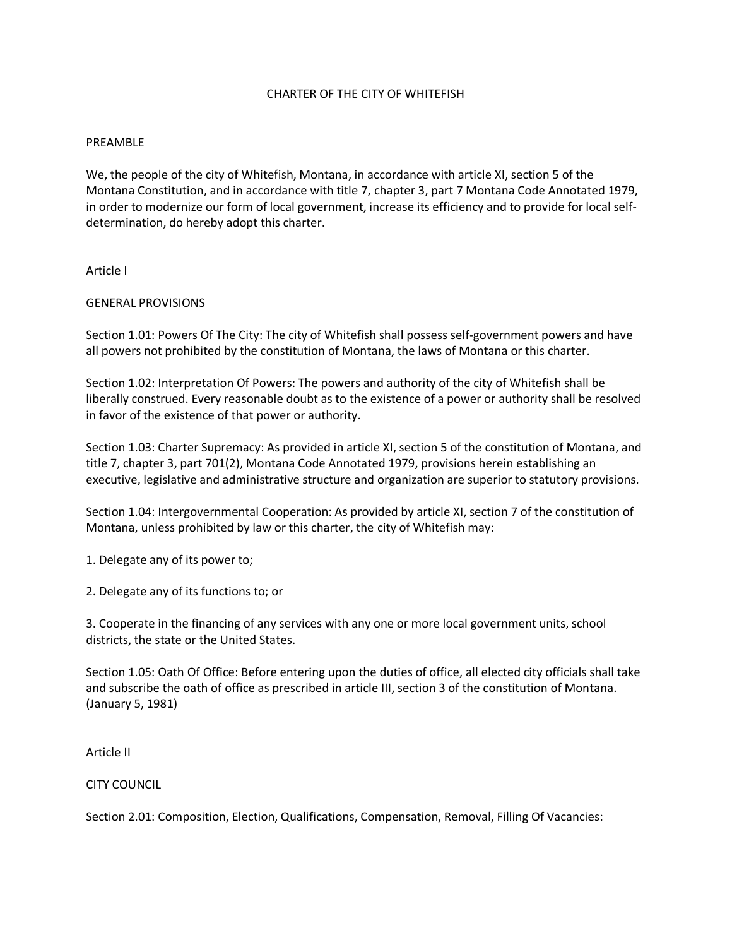## CHARTER OF THE CITY OF WHITEFISH

### PREAMBLE

We, the people of the city of Whitefish, Montana, in accordance with article XI, section 5 of the Montana Constitution, and in accordance with title 7, chapter 3, part 7 Montana Code Annotated 1979, in order to modernize our form of local government, increase its efficiency and to provide for local selfdetermination, do hereby adopt this charter.

### Article I

### GENERAL PROVISIONS

Section 1.01: Powers Of The City: The city of Whitefish shall possess self-government powers and have all powers not prohibited by the constitution of Montana, the laws of Montana or this charter.

Section 1.02: Interpretation Of Powers: The powers and authority of the city of Whitefish shall be liberally construed. Every reasonable doubt as to the existence of a power or authority shall be resolved in favor of the existence of that power or authority.

Section 1.03: Charter Supremacy: As provided in article XI, section 5 of the constitution of Montana, and title 7, chapter 3, part 701(2), Montana Code Annotated 1979, provisions herein establishing an executive, legislative and administrative structure and organization are superior to statutory provisions.

Section 1.04: Intergovernmental Cooperation: As provided by article XI, section 7 of the constitution of Montana, unless prohibited by law or this charter, the city of Whitefish may:

1. Delegate any of its power to;

2. Delegate any of its functions to; or

3. Cooperate in the financing of any services with any one or more local government units, school districts, the state or the United States.

Section 1.05: Oath Of Office: Before entering upon the duties of office, all elected city officials shall take and subscribe the oath of office as prescribed in article III, section 3 of the constitution of Montana. (January 5, 1981)

Article II

CITY COUNCIL

Section 2.01: Composition, Election, Qualifications, Compensation, Removal, Filling Of Vacancies: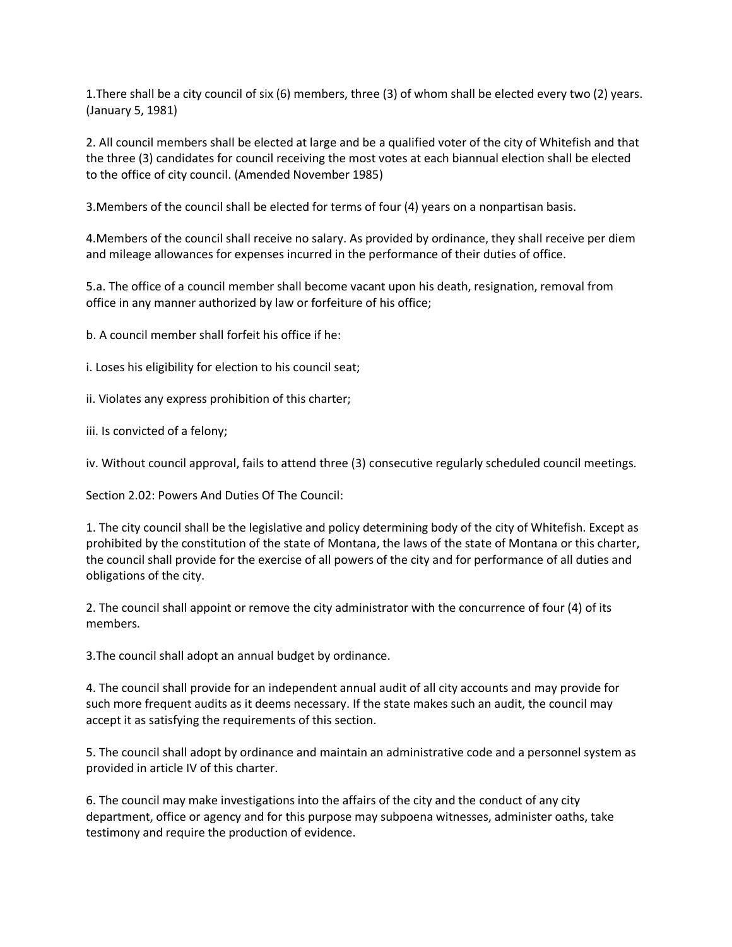1.There shall be a city council of six (6) members, three (3) of whom shall be elected every two (2) years. (January 5, 1981)

2. All council members shall be elected at large and be a qualified voter of the city of Whitefish and that the three (3) candidates for council receiving the most votes at each biannual election shall be elected to the office of city council. (Amended November 1985)

3.Members of the council shall be elected for terms of four (4) years on a nonpartisan basis.

4.Members of the council shall receive no salary. As provided by ordinance, they shall receive per diem and mileage allowances for expenses incurred in the performance of their duties of office.

5.a. The office of a council member shall become vacant upon his death, resignation, removal from office in any manner authorized by law or forfeiture of his office;

b. A council member shall forfeit his office if he:

i. Loses his eligibility for election to his council seat;

ii. Violates any express prohibition of this charter;

iii. Is convicted of a felony;

iv. Without council approval, fails to attend three (3) consecutive regularly scheduled council meetings.

Section 2.02: Powers And Duties Of The Council:

1. The city council shall be the legislative and policy determining body of the city of Whitefish. Except as prohibited by the constitution of the state of Montana, the laws of the state of Montana or this charter, the council shall provide for the exercise of all powers of the city and for performance of all duties and obligations of the city.

2. The council shall appoint or remove the city administrator with the concurrence of four (4) of its members.

3.The council shall adopt an annual budget by ordinance.

4. The council shall provide for an independent annual audit of all city accounts and may provide for such more frequent audits as it deems necessary. If the state makes such an audit, the council may accept it as satisfying the requirements of this section.

5. The council shall adopt by ordinance and maintain an administrative code and a personnel system as provided in article IV of this charter.

6. The council may make investigations into the affairs of the city and the conduct of any city department, office or agency and for this purpose may subpoena witnesses, administer oaths, take testimony and require the production of evidence.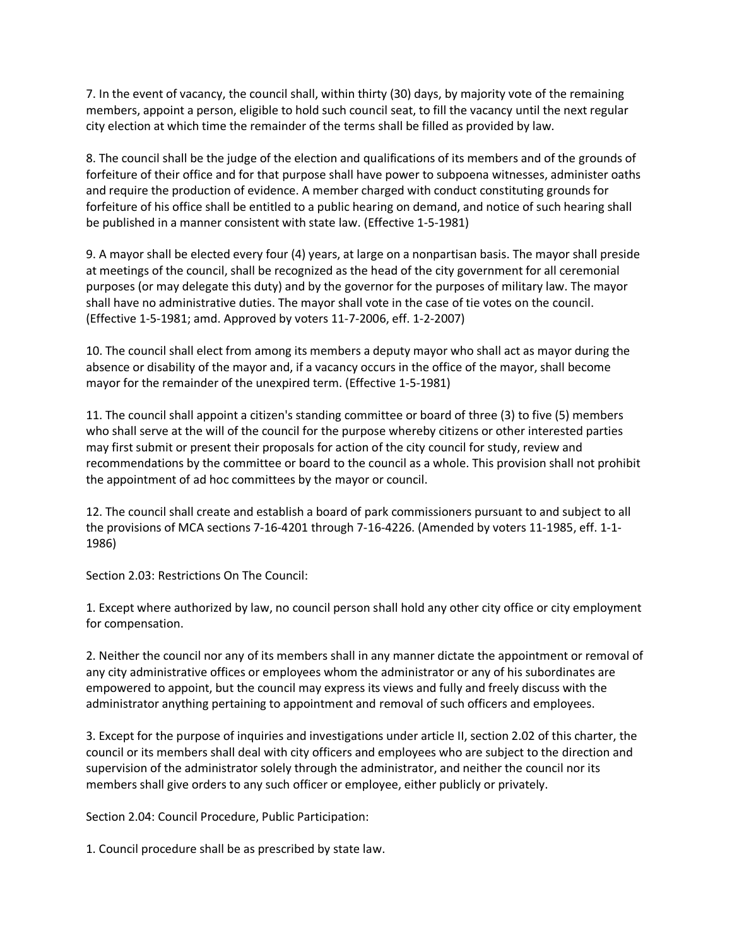7. In the event of vacancy, the council shall, within thirty (30) days, by majority vote of the remaining members, appoint a person, eligible to hold such council seat, to fill the vacancy until the next regular city election at which time the remainder of the terms shall be filled as provided by law.

8. The council shall be the judge of the election and qualifications of its members and of the grounds of forfeiture of their office and for that purpose shall have power to subpoena witnesses, administer oaths and require the production of evidence. A member charged with conduct constituting grounds for forfeiture of his office shall be entitled to a public hearing on demand, and notice of such hearing shall be published in a manner consistent with state law. (Effective 1-5-1981)

9. A mayor shall be elected every four (4) years, at large on a nonpartisan basis. The mayor shall preside at meetings of the council, shall be recognized as the head of the city government for all ceremonial purposes (or may delegate this duty) and by the governor for the purposes of military law. The mayor shall have no administrative duties. The mayor shall vote in the case of tie votes on the council. (Effective 1-5-1981; amd. Approved by voters 11-7-2006, eff. 1-2-2007)

10. The council shall elect from among its members a deputy mayor who shall act as mayor during the absence or disability of the mayor and, if a vacancy occurs in the office of the mayor, shall become mayor for the remainder of the unexpired term. (Effective 1-5-1981)

11. The council shall appoint a citizen's standing committee or board of three (3) to five (5) members who shall serve at the will of the council for the purpose whereby citizens or other interested parties may first submit or present their proposals for action of the city council for study, review and recommendations by the committee or board to the council as a whole. This provision shall not prohibit the appointment of ad hoc committees by the mayor or council.

12. The council shall create and establish a board of park commissioners pursuant to and subject to all the provisions of MCA sections 7-16-4201 through 7-16-4226. (Amended by voters 11-1985, eff. 1-1- 1986)

Section 2.03: Restrictions On The Council:

1. Except where authorized by law, no council person shall hold any other city office or city employment for compensation.

2. Neither the council nor any of its members shall in any manner dictate the appointment or removal of any city administrative offices or employees whom the administrator or any of his subordinates are empowered to appoint, but the council may express its views and fully and freely discuss with the administrator anything pertaining to appointment and removal of such officers and employees.

3. Except for the purpose of inquiries and investigations under article II, section 2.02 of this charter, the council or its members shall deal with city officers and employees who are subject to the direction and supervision of the administrator solely through the administrator, and neither the council nor its members shall give orders to any such officer or employee, either publicly or privately.

Section 2.04: Council Procedure, Public Participation:

1. Council procedure shall be as prescribed by state law.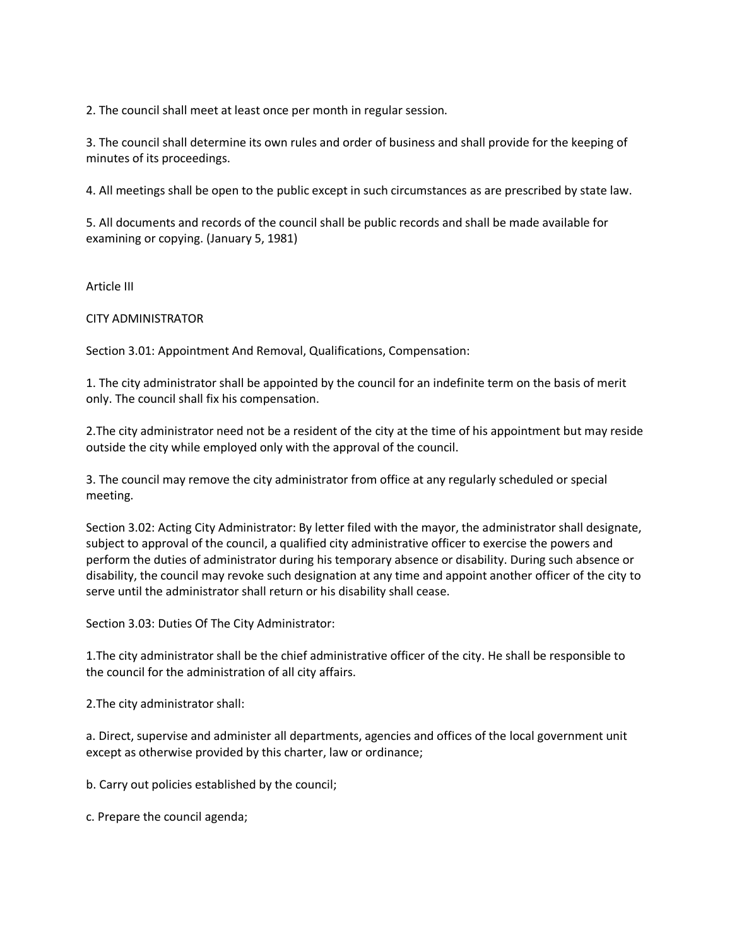2. The council shall meet at least once per month in regular session.

3. The council shall determine its own rules and order of business and shall provide for the keeping of minutes of its proceedings.

4. All meetings shall be open to the public except in such circumstances as are prescribed by state law.

5. All documents and records of the council shall be public records and shall be made available for examining or copying. (January 5, 1981)

Article III

CITY ADMINISTRATOR

Section 3.01: Appointment And Removal, Qualifications, Compensation:

1. The city administrator shall be appointed by the council for an indefinite term on the basis of merit only. The council shall fix his compensation.

2.The city administrator need not be a resident of the city at the time of his appointment but may reside outside the city while employed only with the approval of the council.

3. The council may remove the city administrator from office at any regularly scheduled or special meeting.

Section 3.02: Acting City Administrator: By letter filed with the mayor, the administrator shall designate, subject to approval of the council, a qualified city administrative officer to exercise the powers and perform the duties of administrator during his temporary absence or disability. During such absence or disability, the council may revoke such designation at any time and appoint another officer of the city to serve until the administrator shall return or his disability shall cease.

Section 3.03: Duties Of The City Administrator:

1.The city administrator shall be the chief administrative officer of the city. He shall be responsible to the council for the administration of all city affairs.

2.The city administrator shall:

a. Direct, supervise and administer all departments, agencies and offices of the local government unit except as otherwise provided by this charter, law or ordinance;

b. Carry out policies established by the council;

c. Prepare the council agenda;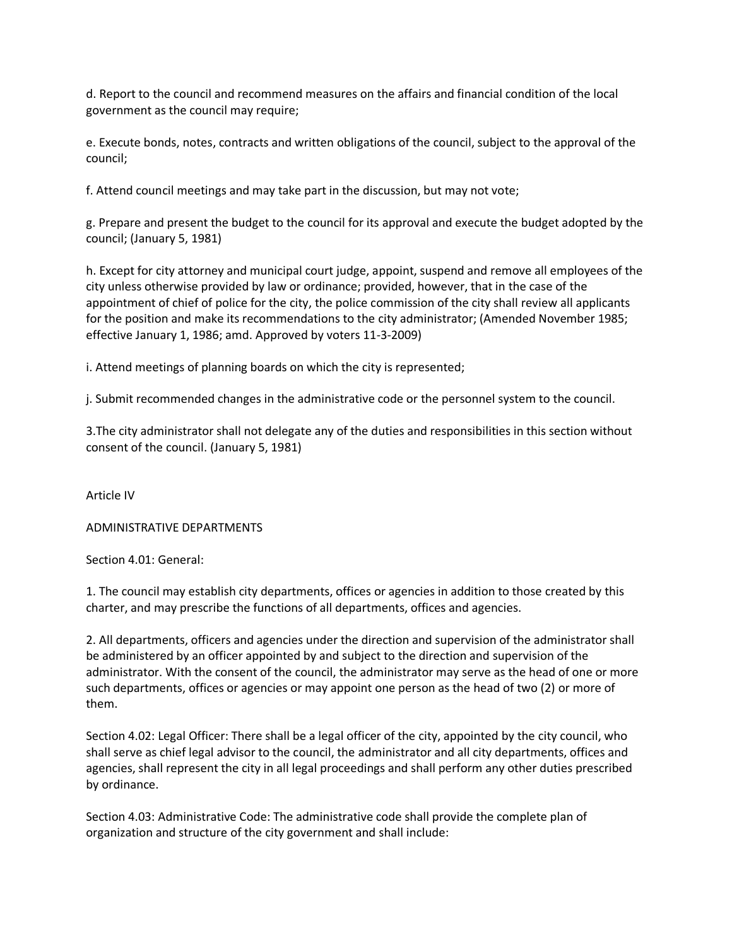d. Report to the council and recommend measures on the affairs and financial condition of the local government as the council may require;

e. Execute bonds, notes, contracts and written obligations of the council, subject to the approval of the council;

f. Attend council meetings and may take part in the discussion, but may not vote;

g. Prepare and present the budget to the council for its approval and execute the budget adopted by the council; (January 5, 1981)

h. Except for city attorney and municipal court judge, appoint, suspend and remove all employees of the city unless otherwise provided by law or ordinance; provided, however, that in the case of the appointment of chief of police for the city, the police commission of the city shall review all applicants for the position and make its recommendations to the city administrator; (Amended November 1985; effective January 1, 1986; amd. Approved by voters 11-3-2009)

i. Attend meetings of planning boards on which the city is represented;

j. Submit recommended changes in the administrative code or the personnel system to the council.

3.The city administrator shall not delegate any of the duties and responsibilities in this section without consent of the council. (January 5, 1981)

Article IV

# ADMINISTRATIVE DEPARTMENTS

Section 4.01: General:

1. The council may establish city departments, offices or agencies in addition to those created by this charter, and may prescribe the functions of all departments, offices and agencies.

2. All departments, officers and agencies under the direction and supervision of the administrator shall be administered by an officer appointed by and subject to the direction and supervision of the administrator. With the consent of the council, the administrator may serve as the head of one or more such departments, offices or agencies or may appoint one person as the head of two (2) or more of them.

Section 4.02: Legal Officer: There shall be a legal officer of the city, appointed by the city council, who shall serve as chief legal advisor to the council, the administrator and all city departments, offices and agencies, shall represent the city in all legal proceedings and shall perform any other duties prescribed by ordinance.

Section 4.03: Administrative Code: The administrative code shall provide the complete plan of organization and structure of the city government and shall include: